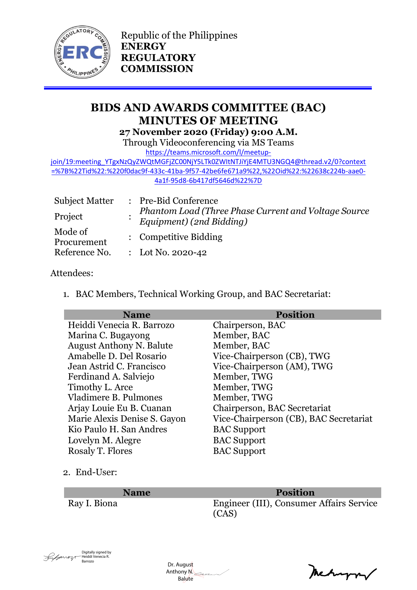

Republic of the Philippines **ENERGY REGULATORY COMMISSION**

# **BIDS AND AWARDS COMMITTEE (BAC) MINUTES OF MEETING 27 November 2020 (Friday) 9:00 A.M.**

Through Videoconferencing via MS Teams

[https://teams.microsoft.com/l/meetup-](https://teams.microsoft.com/l/meetup-join/19:meeting_YTgxNzQyZWQtMGFjZC00NjY5LTk0ZWItNTJiYjE4MTU3NGQ4@thread.v2/0?context=%7B%22Tid%22:%220f0dac9f-433c-41ba-9f57-42be6fe671a9%22,%22Oid%22:%22638c224b-aae0-4a1f-95d8-6b417df5646d%22%7D)

[join/19:meeting\\_YTgxNzQyZWQtMGFjZC00NjY5LTk0ZWItNTJiYjE4MTU3NGQ4@thread.v2/0?context](https://teams.microsoft.com/l/meetup-join/19:meeting_YTgxNzQyZWQtMGFjZC00NjY5LTk0ZWItNTJiYjE4MTU3NGQ4@thread.v2/0?context=%7B%22Tid%22:%220f0dac9f-433c-41ba-9f57-42be6fe671a9%22,%22Oid%22:%22638c224b-aae0-4a1f-95d8-6b417df5646d%22%7D) [=%7B%22Tid%22:%220f0dac9f-433c-41ba-9f57-42be6fe671a9%22,%22Oid%22:%22638c224b-aae0-](https://teams.microsoft.com/l/meetup-join/19:meeting_YTgxNzQyZWQtMGFjZC00NjY5LTk0ZWItNTJiYjE4MTU3NGQ4@thread.v2/0?context=%7B%22Tid%22:%220f0dac9f-433c-41ba-9f57-42be6fe671a9%22,%22Oid%22:%22638c224b-aae0-4a1f-95d8-6b417df5646d%22%7D) [4a1f-95d8-6b417df5646d%22%7D](https://teams.microsoft.com/l/meetup-join/19:meeting_YTgxNzQyZWQtMGFjZC00NjY5LTk0ZWItNTJiYjE4MTU3NGQ4@thread.v2/0?context=%7B%22Tid%22:%220f0dac9f-433c-41ba-9f57-42be6fe671a9%22,%22Oid%22:%22638c224b-aae0-4a1f-95d8-6b417df5646d%22%7D)

| <b>Subject Matter</b>  | : Pre-Bid Conference                                                             |
|------------------------|----------------------------------------------------------------------------------|
| Project                | Phantom Load (Three Phase Current and Voltage Source<br>Equipment) (2nd Bidding) |
| Mode of<br>Procurement | : Competitive Bidding                                                            |
| Reference No.          | : Lot No. 2020-42                                                                |

### Attendees:

1. BAC Members, Technical Working Group, and BAC Secretariat:

| <b>Position</b>                        |
|----------------------------------------|
| Chairperson, BAC                       |
| Member, BAC                            |
| Member, BAC                            |
| Vice-Chairperson (CB), TWG             |
| Vice-Chairperson (AM), TWG             |
| Member, TWG                            |
| Member, TWG                            |
| Member, TWG                            |
| Chairperson, BAC Secretariat           |
| Vice-Chairperson (CB), BAC Secretariat |
| <b>BAC</b> Support                     |
| <b>BAC</b> Support                     |
| <b>BAC</b> Support                     |
|                                        |

2. End-User:

**Name Position** Ray I. Biona Engineer (III), Consumer Affairs Service (CAS)



 Dr. August Anthony N. Balute

Mehappy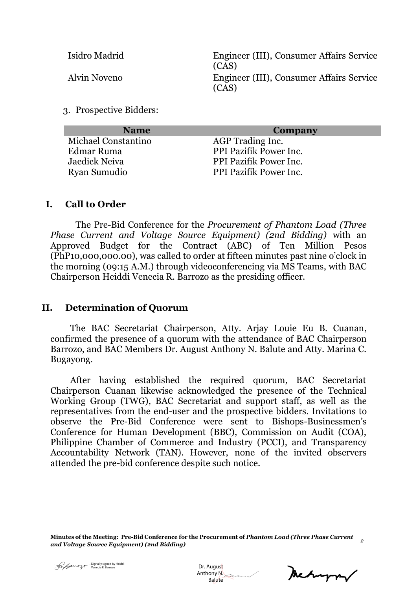Isidro Madrid Engineer (III), Consumer Affairs Service (CAS) Alvin Noveno Engineer (III), Consumer Affairs Service (CAS)

3. Prospective Bidders:

| <b>Name</b>         | Company                       |
|---------------------|-------------------------------|
| Michael Constantino | AGP Trading Inc.              |
| Edmar Ruma          | PPI Pazifik Power Inc.        |
| Jaedick Neiva       | <b>PPI Pazifik Power Inc.</b> |
| Ryan Sumudio        | PPI Pazifik Power Inc.        |
|                     |                               |

#### **I. Call to Order**

The Pre-Bid Conference for the *Procurement of Phantom Load (Three Phase Current and Voltage Source Equipment) (2nd Bidding)* with an Approved Budget for the Contract (ABC) of Ten Million Pesos (PhP10,000,000.00), was called to order at fifteen minutes past nine o'clock in the morning (09:15 A.M.) through videoconferencing via MS Teams, with BAC Chairperson Heiddi Venecia R. Barrozo as the presiding officer.

#### **II. Determination of Quorum**

The BAC Secretariat Chairperson, Atty. Arjay Louie Eu B. Cuanan, confirmed the presence of a quorum with the attendance of BAC Chairperson Barrozo, and BAC Members Dr. August Anthony N. Balute and Atty. Marina C. Bugayong.

After having established the required quorum, BAC Secretariat Chairperson Cuanan likewise acknowledged the presence of the Technical Working Group (TWG), BAC Secretariat and support staff, as well as the representatives from the end-user and the prospective bidders. Invitations to observe the Pre-Bid Conference were sent to Bishops-Businessmen's Conference for Human Development (BBC), Commission on Audit (COA), Philippine Chamber of Commerce and Industry (PCCI), and Transparency Accountability Network (TAN). However, none of the invited observers attended the pre-bid conference despite such notice.

**Minutes of the Meeting: Pre-Bid Conference for the Procurement of** *Phantom Load (Three Phase Current and Voltage Source Equipment) (2nd Bidding) <sup>2</sup>*

 Dr. August Anthony N. Digitally signed by Heiddi<br>
Christenecia R. Barrozo<br>
Anthony M. Balute<br>
Balute

metryon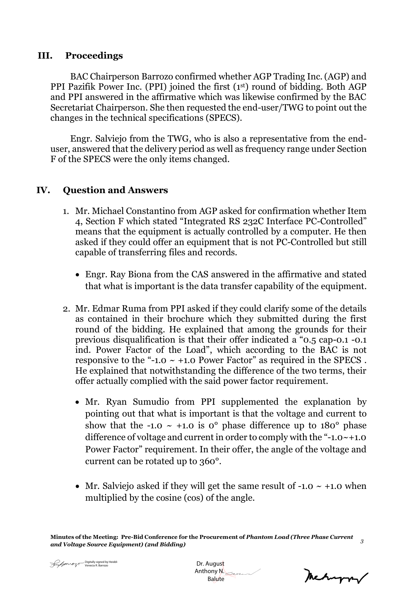#### **III. Proceedings**

BAC Chairperson Barrozo confirmed whether AGP Trading Inc. (AGP) and PPI Pazifik Power Inc. (PPI) joined the first (1st) round of bidding. Both AGP and PPI answered in the affirmative which was likewise confirmed by the BAC Secretariat Chairperson. She then requested the end-user/TWG to point out the changes in the technical specifications (SPECS).

Engr. Salviejo from the TWG, who is also a representative from the enduser, answered that the delivery period as well as frequency range under Section F of the SPECS were the only items changed.

### **IV. Question and Answers**

- 1. Mr. Michael Constantino from AGP asked for confirmation whether Item 4, Section F which stated "Integrated RS 232C Interface PC-Controlled" means that the equipment is actually controlled by a computer. He then asked if they could offer an equipment that is not PC-Controlled but still capable of transferring files and records.
	- Engr. Ray Biona from the CAS answered in the affirmative and stated that what is important is the data transfer capability of the equipment.
- 2. Mr. Edmar Ruma from PPI asked if they could clarify some of the details as contained in their brochure which they submitted during the first round of the bidding. He explained that among the grounds for their previous disqualification is that their offer indicated a "0.5 cap-0.1 -0.1 ind. Power Factor of the Load", which according to the BAC is not responsive to the "-1.0  $\sim$  +1.0 Power Factor" as required in the SPECS. He explained that notwithstanding the difference of the two terms, their offer actually complied with the said power factor requirement.
	- Mr. Ryan Sumudio from PPI supplemented the explanation by pointing out that what is important is that the voltage and current to show that the -1.0  $\sim$  +1.0 is 0° phase difference up to 180° phase difference of voltage and current in order to comply with the "-1.0 $\sim$ +1.0 Power Factor" requirement. In their offer, the angle of the voltage and current can be rotated up to 360°.
	- Mr. Salviejo asked if they will get the same result of  $-1.0 \sim +1.0$  when multiplied by the cosine (cos) of the angle.

**Minutes of the Meeting: Pre-Bid Conference for the Procurement of** *Phantom Load (Three Phase Current and Voltage Source Equipment) (2nd Bidding) <sup>3</sup>*

 Dr. August Anthony N. Digitally signed by Heiddi<br>
Chr. August Anthony N.<br>
Anthony N.<br>
Balute

Mehappy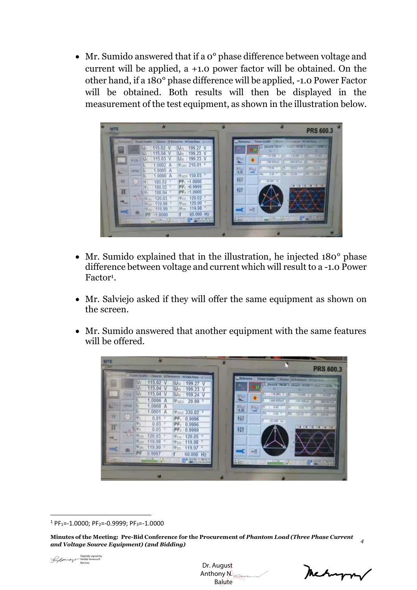• Mr. Sumido answered that if a  $0^{\circ}$  phase difference between voltage and current will be applied, a +1.0 power factor will be obtained. On the other hand, if a 180° phase difference will be applied, -1.0 Power Factor will be obtained. Both results will then be displayed in the measurement of the test equipment, as shown in the illustration below.



- Mr. Sumido explained that in the illustration, he injected 180<sup>°</sup> phase difference between voltage and current which will result to a -1.0 Power Factor<sup>1</sup>.
- Mr. Salviejo asked if they will offer the same equipment as shown on the screen.
- Mr. Sumido answered that another equipment with the same features will be offered.



**Minutes of the Meeting: Pre-Bid Conference for the Procurement of** *Phantom Load (Three Phase Current and Voltage Source Equipment) (2nd Bidding) <sup>4</sup>*



 Dr. August Anthony N. Balute

 $1$  PF<sub>1</sub>=-1.0000; PF<sub>2</sub>=-0.9999; PF<sub>3</sub>=-1.0000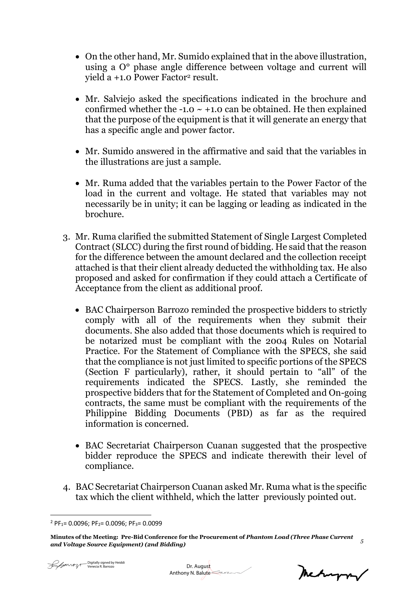- On the other hand, Mr. Sumido explained that in the above illustration, using a O° phase angle difference between voltage and current will yield a +1.0 Power Factor<sup>2</sup> result.
- Mr. Salviejo asked the specifications indicated in the brochure and confirmed whether the  $-1.0 \sim +1.0$  can be obtained. He then explained that the purpose of the equipment is that it will generate an energy that has a specific angle and power factor.
- Mr. Sumido answered in the affirmative and said that the variables in the illustrations are just a sample.
- Mr. Ruma added that the variables pertain to the Power Factor of the load in the current and voltage. He stated that variables may not necessarily be in unity; it can be lagging or leading as indicated in the brochure.
- 3. Mr. Ruma clarified the submitted Statement of Single Largest Completed Contract (SLCC) during the first round of bidding. He said that the reason for the difference between the amount declared and the collection receipt attached is that their client already deducted the withholding tax. He also proposed and asked for confirmation if they could attach a Certificate of Acceptance from the client as additional proof.
	- BAC Chairperson Barrozo reminded the prospective bidders to strictly comply with all of the requirements when they submit their documents. She also added that those documents which is required to be notarized must be compliant with the 2004 Rules on Notarial Practice. For the Statement of Compliance with the SPECS, she said that the compliance is not just limited to specific portions of the SPECS (Section F particularly), rather, it should pertain to "all" of the requirements indicated the SPECS. Lastly, she reminded the prospective bidders that for the Statement of Completed and On-going contracts, the same must be compliant with the requirements of the Philippine Bidding Documents (PBD) as far as the required information is concerned.
	- BAC Secretariat Chairperson Cuanan suggested that the prospective bidder reproduce the SPECS and indicate therewith their level of compliance.
- 4. BAC Secretariat Chairperson Cuanan asked Mr. Ruma what is the specific tax which the client withheld, which the latter previously pointed out.

Mechangny

 $2$  PF<sub>1</sub> = 0.0096; PF<sub>2</sub> = 0.0096; PF<sub>3</sub> = 0.0099

**Minutes of the Meeting: Pre-Bid Conference for the Procurement of** *Phantom Load (Three Phase Current and Voltage Source Equipment) (2nd Bidding) <sup>5</sup>*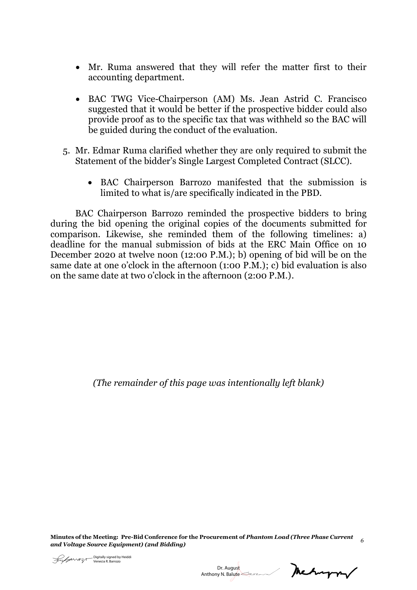- Mr. Ruma answered that they will refer the matter first to their accounting department.
- BAC TWG Vice-Chairperson (AM) Ms. Jean Astrid C. Francisco suggested that it would be better if the prospective bidder could also provide proof as to the specific tax that was withheld so the BAC will be guided during the conduct of the evaluation.
- 5. Mr. Edmar Ruma clarified whether they are only required to submit the Statement of the bidder's Single Largest Completed Contract (SLCC).
	- BAC Chairperson Barrozo manifested that the submission is limited to what is/are specifically indicated in the PBD.

BAC Chairperson Barrozo reminded the prospective bidders to bring during the bid opening the original copies of the documents submitted for comparison. Likewise, she reminded them of the following timelines: a) deadline for the manual submission of bids at the ERC Main Office on 10 December 2020 at twelve noon (12:00 P.M.); b) opening of bid will be on the same date at one o'clock in the afternoon (1:00 P.M.); c) bid evaluation is also on the same date at two o'clock in the afternoon (2:00 P.M.).

*(The remainder of this page was intentionally left blank)*

**Minutes of the Meeting: Pre-Bid Conference for the Procurement of** *Phantom Load (Three Phase Current and Voltage Source Equipment) (2nd Bidding) <sup>6</sup>*

metryn